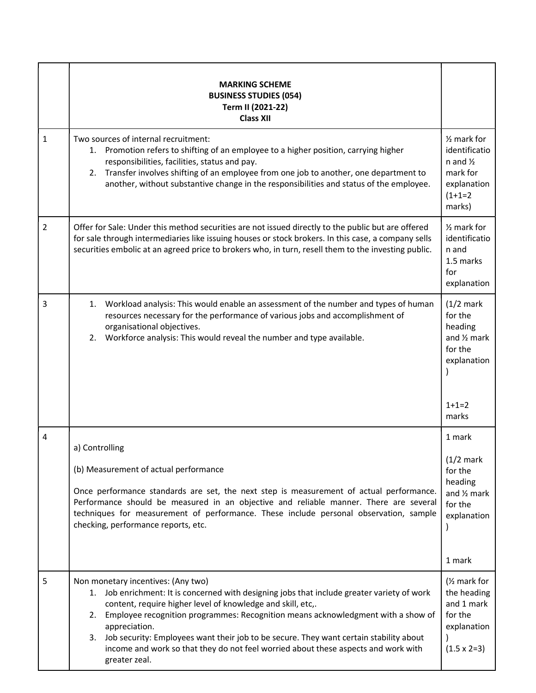|                | <b>MARKING SCHEME</b><br><b>BUSINESS STUDIES (054)</b><br>Term II (2021-22)<br><b>Class XII</b>                                                                                                                                                                                                                                                                                                                                                                                                                    |                                                                                                                  |
|----------------|--------------------------------------------------------------------------------------------------------------------------------------------------------------------------------------------------------------------------------------------------------------------------------------------------------------------------------------------------------------------------------------------------------------------------------------------------------------------------------------------------------------------|------------------------------------------------------------------------------------------------------------------|
| $\mathbf{1}$   | Two sources of internal recruitment:<br>1. Promotion refers to shifting of an employee to a higher position, carrying higher<br>responsibilities, facilities, status and pay.<br>Transfer involves shifting of an employee from one job to another, one department to<br>2.<br>another, without substantive change in the responsibilities and status of the employee.                                                                                                                                             | $\frac{1}{2}$ mark for<br>identificatio<br>n and $\frac{1}{2}$<br>mark for<br>explanation<br>$(1+1=2)$<br>marks) |
| $\overline{2}$ | Offer for Sale: Under this method securities are not issued directly to the public but are offered<br>for sale through intermediaries like issuing houses or stock brokers. In this case, a company sells<br>securities embolic at an agreed price to brokers who, in turn, resell them to the investing public.                                                                                                                                                                                                   | $\frac{1}{2}$ mark for<br>identificatio<br>n and<br>1.5 marks<br>for<br>explanation                              |
| 3              | 1. Workload analysis: This would enable an assessment of the number and types of human<br>resources necessary for the performance of various jobs and accomplishment of<br>organisational objectives.<br>2. Workforce analysis: This would reveal the number and type available.                                                                                                                                                                                                                                   | $(1/2)$ mark<br>for the<br>heading<br>and 1/2 mark<br>for the<br>explanation<br>$1+1=2$<br>marks                 |
| 4              | a) Controlling<br>(b) Measurement of actual performance<br>Once performance standards are set, the next step is measurement of actual performance.<br>Performance should be measured in an objective and reliable manner. There are several<br>techniques for measurement of performance. These include personal observation, sample<br>checking, performance reports, etc.                                                                                                                                        | 1 mark<br>$(1/2)$ mark<br>for the<br>heading<br>and 1/2 mark<br>for the<br>explanation<br>1 mark                 |
| 5              | Non monetary incentives: (Any two)<br>1. Job enrichment: It is concerned with designing jobs that include greater variety of work<br>content, require higher level of knowledge and skill, etc,.<br>Employee recognition programmes: Recognition means acknowledgment with a show of<br>2.<br>appreciation.<br>Job security: Employees want their job to be secure. They want certain stability about<br>3.<br>income and work so that they do not feel worried about these aspects and work with<br>greater zeal. | (1/ <sub>2</sub> mark for<br>the heading<br>and 1 mark<br>for the<br>explanation<br>$(1.5 \times 2=3)$           |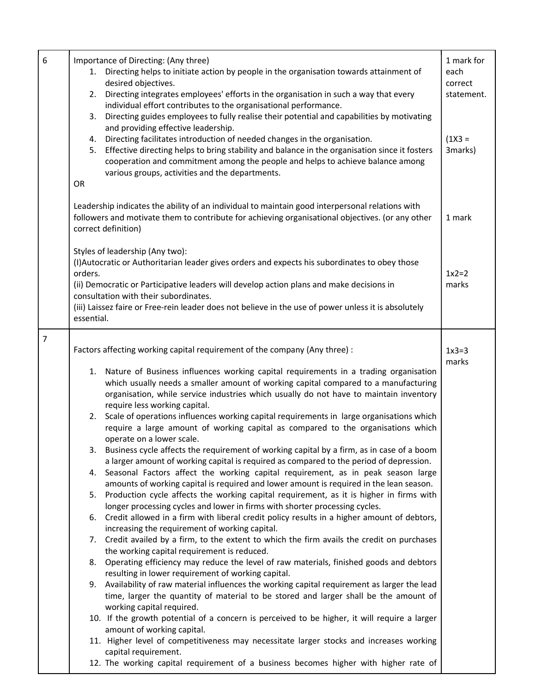| 6<br>OR | Importance of Directing: (Any three)<br>1. Directing helps to initiate action by people in the organisation towards attainment of<br>desired objectives.<br>2. Directing integrates employees' efforts in the organisation in such a way that every<br>individual effort contributes to the organisational performance.<br>Directing guides employees to fully realise their potential and capabilities by motivating<br>3.<br>and providing effective leadership.<br>4. Directing facilitates introduction of needed changes in the organisation.<br>5. Effective directing helps to bring stability and balance in the organisation since it fosters<br>cooperation and commitment among the people and helps to achieve balance among<br>various groups, activities and the departments.                                                                                                                                                                                                                                                                                                                                                                                                                                                                                                                                                                                                                                                                                                                                                                                                                                                                                                                                                                                                                                                                                                                                                                                                                                                                                                     | 1 mark for<br>each<br>correct<br>statement.<br>$(1X3 =$<br>3marks) |
|---------|-------------------------------------------------------------------------------------------------------------------------------------------------------------------------------------------------------------------------------------------------------------------------------------------------------------------------------------------------------------------------------------------------------------------------------------------------------------------------------------------------------------------------------------------------------------------------------------------------------------------------------------------------------------------------------------------------------------------------------------------------------------------------------------------------------------------------------------------------------------------------------------------------------------------------------------------------------------------------------------------------------------------------------------------------------------------------------------------------------------------------------------------------------------------------------------------------------------------------------------------------------------------------------------------------------------------------------------------------------------------------------------------------------------------------------------------------------------------------------------------------------------------------------------------------------------------------------------------------------------------------------------------------------------------------------------------------------------------------------------------------------------------------------------------------------------------------------------------------------------------------------------------------------------------------------------------------------------------------------------------------------------------------------------------------------------------------------------------------|--------------------------------------------------------------------|
|         | Leadership indicates the ability of an individual to maintain good interpersonal relations with<br>followers and motivate them to contribute for achieving organisational objectives. (or any other<br>correct definition)                                                                                                                                                                                                                                                                                                                                                                                                                                                                                                                                                                                                                                                                                                                                                                                                                                                                                                                                                                                                                                                                                                                                                                                                                                                                                                                                                                                                                                                                                                                                                                                                                                                                                                                                                                                                                                                                      | 1 mark                                                             |
|         | Styles of leadership (Any two):<br>(I) Autocratic or Authoritarian leader gives orders and expects his subordinates to obey those<br>orders.<br>(ii) Democratic or Participative leaders will develop action plans and make decisions in<br>consultation with their subordinates.<br>(iii) Laissez faire or Free-rein leader does not believe in the use of power unless it is absolutely<br>essential.                                                                                                                                                                                                                                                                                                                                                                                                                                                                                                                                                                                                                                                                                                                                                                                                                                                                                                                                                                                                                                                                                                                                                                                                                                                                                                                                                                                                                                                                                                                                                                                                                                                                                         | $1x2=2$<br>marks                                                   |
| 7       | Factors affecting working capital requirement of the company (Any three) :<br>1. Nature of Business influences working capital requirements in a trading organisation<br>which usually needs a smaller amount of working capital compared to a manufacturing<br>organisation, while service industries which usually do not have to maintain inventory<br>require less working capital.<br>Scale of operations influences working capital requirements in large organisations which<br>2.<br>require a large amount of working capital as compared to the organisations which<br>operate on a lower scale.<br>3. Business cycle affects the requirement of working capital by a firm, as in case of a boom<br>a larger amount of working capital is required as compared to the period of depression.<br>4. Seasonal Factors affect the working capital requirement, as in peak season large<br>amounts of working capital is required and lower amount is required in the lean season.<br>5. Production cycle affects the working capital requirement, as it is higher in firms with<br>longer processing cycles and lower in firms with shorter processing cycles.<br>6. Credit allowed in a firm with liberal credit policy results in a higher amount of debtors,<br>increasing the requirement of working capital.<br>7. Credit availed by a firm, to the extent to which the firm avails the credit on purchases<br>the working capital requirement is reduced.<br>8. Operating efficiency may reduce the level of raw materials, finished goods and debtors<br>resulting in lower requirement of working capital.<br>9. Availability of raw material influences the working capital requirement as larger the lead<br>time, larger the quantity of material to be stored and larger shall be the amount of<br>working capital required.<br>10. If the growth potential of a concern is perceived to be higher, it will require a larger<br>amount of working capital.<br>11. Higher level of competitiveness may necessitate larger stocks and increases working<br>capital requirement. | $1x3=3$<br>marks                                                   |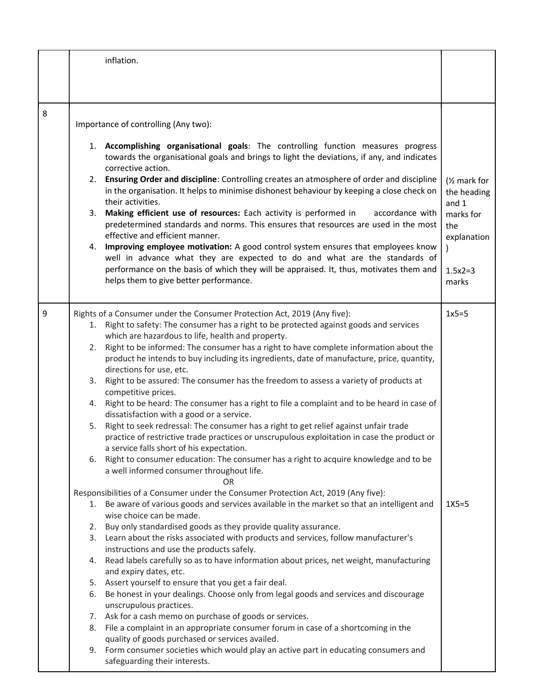|   | inflation.                                                                                                                                                                                                                                                                                                                                                                                                                                                                                                                                                                                                                                                                                                                                                                                                                                                                                                                                                                                                                                                                                                                                                                                                                                                                                                                                                                                                                                                                                                                                                                                                                                                                                                                                                                                                                                                                                                                                                                                                                                                                                                                                                                   |                                                                                                            |
|---|------------------------------------------------------------------------------------------------------------------------------------------------------------------------------------------------------------------------------------------------------------------------------------------------------------------------------------------------------------------------------------------------------------------------------------------------------------------------------------------------------------------------------------------------------------------------------------------------------------------------------------------------------------------------------------------------------------------------------------------------------------------------------------------------------------------------------------------------------------------------------------------------------------------------------------------------------------------------------------------------------------------------------------------------------------------------------------------------------------------------------------------------------------------------------------------------------------------------------------------------------------------------------------------------------------------------------------------------------------------------------------------------------------------------------------------------------------------------------------------------------------------------------------------------------------------------------------------------------------------------------------------------------------------------------------------------------------------------------------------------------------------------------------------------------------------------------------------------------------------------------------------------------------------------------------------------------------------------------------------------------------------------------------------------------------------------------------------------------------------------------------------------------------------------------|------------------------------------------------------------------------------------------------------------|
|   |                                                                                                                                                                                                                                                                                                                                                                                                                                                                                                                                                                                                                                                                                                                                                                                                                                                                                                                                                                                                                                                                                                                                                                                                                                                                                                                                                                                                                                                                                                                                                                                                                                                                                                                                                                                                                                                                                                                                                                                                                                                                                                                                                                              |                                                                                                            |
|   |                                                                                                                                                                                                                                                                                                                                                                                                                                                                                                                                                                                                                                                                                                                                                                                                                                                                                                                                                                                                                                                                                                                                                                                                                                                                                                                                                                                                                                                                                                                                                                                                                                                                                                                                                                                                                                                                                                                                                                                                                                                                                                                                                                              |                                                                                                            |
| 8 | Importance of controlling (Any two):                                                                                                                                                                                                                                                                                                                                                                                                                                                                                                                                                                                                                                                                                                                                                                                                                                                                                                                                                                                                                                                                                                                                                                                                                                                                                                                                                                                                                                                                                                                                                                                                                                                                                                                                                                                                                                                                                                                                                                                                                                                                                                                                         |                                                                                                            |
|   | 1. Accomplishing organisational goals: The controlling function measures progress<br>towards the organisational goals and brings to light the deviations, if any, and indicates<br>corrective action.<br>2. Ensuring Order and discipline: Controlling creates an atmosphere of order and discipline<br>in the organisation. It helps to minimise dishonest behaviour by keeping a close check on<br>their activities.<br>Making efficient use of resources: Each activity is performed in<br>3.<br>accordance with<br>predetermined standards and norms. This ensures that resources are used in the most<br>effective and efficient manner.<br>Improving employee motivation: A good control system ensures that employees know<br>4.<br>well in advance what they are expected to do and what are the standards of<br>performance on the basis of which they will be appraised. It, thus, motivates them and<br>helps them to give better performance.                                                                                                                                                                                                                                                                                                                                                                                                                                                                                                                                                                                                                                                                                                                                                                                                                                                                                                                                                                                                                                                                                                                                                                                                                    | (1/ <sub>2</sub> mark for<br>the heading<br>and 1<br>marks for<br>the<br>explanation<br>$1.5x2=3$<br>marks |
| 9 | Rights of a Consumer under the Consumer Protection Act, 2019 (Any five):<br>1. Right to safety: The consumer has a right to be protected against goods and services<br>which are hazardous to life, health and property.<br>Right to be informed: The consumer has a right to have complete information about the<br>2.<br>product he intends to buy including its ingredients, date of manufacture, price, quantity,<br>directions for use, etc.<br>3. Right to be assured: The consumer has the freedom to assess a variety of products at<br>competitive prices.<br>4. Right to be heard: The consumer has a right to file a complaint and to be heard in case of<br>dissatisfaction with a good or a service.<br>5. Right to seek redressal: The consumer has a right to get relief against unfair trade<br>practice of restrictive trade practices or unscrupulous exploitation in case the product or<br>a service falls short of his expectation.<br>6. Right to consumer education: The consumer has a right to acquire knowledge and to be<br>a well informed consumer throughout life.<br>OR<br>Responsibilities of a Consumer under the Consumer Protection Act, 2019 (Any five):<br>1. Be aware of various goods and services available in the market so that an intelligent and<br>wise choice can be made.<br>2. Buy only standardised goods as they provide quality assurance.<br>3. Learn about the risks associated with products and services, follow manufacturer's<br>instructions and use the products safely.<br>4. Read labels carefully so as to have information about prices, net weight, manufacturing<br>and expiry dates, etc.<br>5. Assert yourself to ensure that you get a fair deal.<br>6. Be honest in your dealings. Choose only from legal goods and services and discourage<br>unscrupulous practices.<br>7. Ask for a cash memo on purchase of goods or services.<br>8. File a complaint in an appropriate consumer forum in case of a shortcoming in the<br>quality of goods purchased or services availed.<br>9. Form consumer societies which would play an active part in educating consumers and<br>safeguarding their interests. | $1x5=5$<br>$1X5=5$                                                                                         |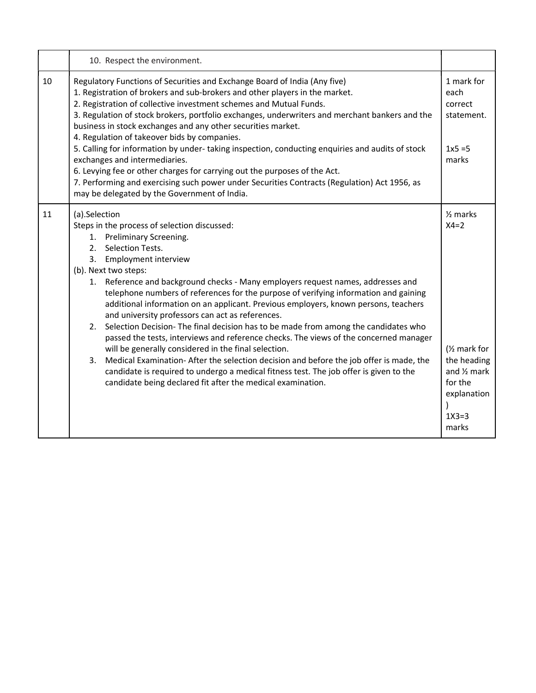|    | 10. Respect the environment.                                                                                                                                                                                                                                                                                                                                                                                                                                                                                                                                                                                                                                                                                                                                                                                                                                                                                                                                                                    |                                                                                                                                                   |
|----|-------------------------------------------------------------------------------------------------------------------------------------------------------------------------------------------------------------------------------------------------------------------------------------------------------------------------------------------------------------------------------------------------------------------------------------------------------------------------------------------------------------------------------------------------------------------------------------------------------------------------------------------------------------------------------------------------------------------------------------------------------------------------------------------------------------------------------------------------------------------------------------------------------------------------------------------------------------------------------------------------|---------------------------------------------------------------------------------------------------------------------------------------------------|
| 10 | Regulatory Functions of Securities and Exchange Board of India (Any five)<br>1. Registration of brokers and sub-brokers and other players in the market.<br>2. Registration of collective investment schemes and Mutual Funds.<br>3. Regulation of stock brokers, portfolio exchanges, underwriters and merchant bankers and the<br>business in stock exchanges and any other securities market.<br>4. Regulation of takeover bids by companies.                                                                                                                                                                                                                                                                                                                                                                                                                                                                                                                                                | 1 mark for<br>each<br>correct<br>statement.                                                                                                       |
|    | 5. Calling for information by under-taking inspection, conducting enquiries and audits of stock<br>exchanges and intermediaries.<br>6. Levying fee or other charges for carrying out the purposes of the Act.<br>7. Performing and exercising such power under Securities Contracts (Regulation) Act 1956, as<br>may be delegated by the Government of India.                                                                                                                                                                                                                                                                                                                                                                                                                                                                                                                                                                                                                                   | $1x5 = 5$<br>marks                                                                                                                                |
| 11 | (a).Selection<br>Steps in the process of selection discussed:<br>1. Preliminary Screening.<br>2. Selection Tests.<br>3. Employment interview<br>(b). Next two steps:<br>1. Reference and background checks - Many employers request names, addresses and<br>telephone numbers of references for the purpose of verifying information and gaining<br>additional information on an applicant. Previous employers, known persons, teachers<br>and university professors can act as references.<br>2. Selection Decision- The final decision has to be made from among the candidates who<br>passed the tests, interviews and reference checks. The views of the concerned manager<br>will be generally considered in the final selection.<br>Medical Examination-After the selection decision and before the job offer is made, the<br>3.<br>candidate is required to undergo a medical fitness test. The job offer is given to the<br>candidate being declared fit after the medical examination. | $\frac{1}{2}$ marks<br>$X4=2$<br>(1/ <sub>2</sub> mark for<br>the heading<br>and $\frac{1}{2}$ mark<br>for the<br>explanation<br>$1X3=3$<br>marks |